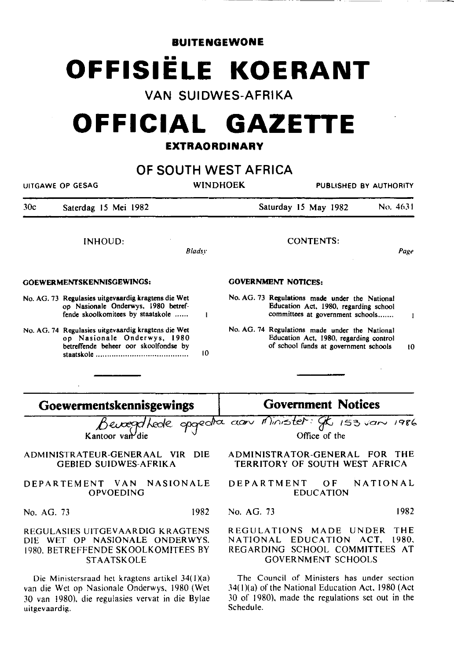**BUITENGEWONE** 

# **OFFISIELE KOERANT**

**VAN SUIDWES-AFRIKA** 

# **OFFICIAL GAZETTE**

## **EXTRAORDINARY**

# **OF SOUTH WEST AFRICA**

| UITGAWE OP GESAG                 |                                                                                                                                 | WINDHOEK |                            | PUBLISHED BY AUTHORITY                                                                                                            |          |
|----------------------------------|---------------------------------------------------------------------------------------------------------------------------------|----------|----------------------------|-----------------------------------------------------------------------------------------------------------------------------------|----------|
| 30c                              | Saterdag 15 Mei 1982                                                                                                            |          |                            | Saturday 15 May 1982                                                                                                              | No. 4631 |
|                                  | INHOUD:                                                                                                                         | Bladsy   |                            | <b>CONTENTS:</b>                                                                                                                  | Page     |
| <b>GOEWERMENTSKENNISGEWINGS:</b> |                                                                                                                                 |          | <b>GOVERNMENT NOTICES:</b> |                                                                                                                                   |          |
|                                  | No. AG. 73 Regulasies uitgevaardig kragtens die Wet<br>op Nasionale Onderwys, 1980 betref-<br>fende skoolkomitees by staatskole |          |                            | No. AG. 73 Regulations made under the National<br>Education Act, 1980, regarding school<br>committees at government schools       |          |
|                                  | No. AG. 74 Regulasies uitgevaardig kragtens die Wet<br>op Nasionale Onderwys, 1980<br>betreffende beheer oor skoolfondse by     | 10       |                            | No. AG. 74 Regulations made under the National<br>Education Act, 1980, regarding control<br>of school funds at government schools | 10       |
|                                  |                                                                                                                                 |          |                            |                                                                                                                                   |          |

# **Goewennentskennisgewings**

Kantoor van

#### ADMINISTRATEUR-GENERAAL VIR DIE GEBIED SUIDWES-AFRIKA

#### DEPARTEMENT VAN NASIONALE OPVOEDING

No. AG. 73 1982

#### REGULASIES UITGEVAARDIG KRAGTENS DIE WET OP NASIONALE ONDERWYS. 1980. BETREFFENDE SKOOLKOMITEES BY STAATSKOLE

Die Ministersraad het kragtens artikel  $34(1)(a)$ van die Wei op Nasionale Onderwys. 1980 (Wet 30 van 1980). die regulasies vervat in die Bylae **uitgevaardig.** 

## **Government Notices**

ewood hede apgedia aan Minister gk 153 van 1986 Office of the

> ADMINISTRATOR-GENERAL FOR THE TERRITORY OF SOUTH WEST AFRICA

> DEPARTMENT OF NATIONAL EDUCATION

> No. AG. 73 1982

#### REGULATIONS MADE UNDER THE<br>NATIONAL EDUCATION ACT. 1980. NATIONAL EDUCATION ACT. REGARDING SCHOOL COMMITTEES AT GOVERNMENT SCHOOLS

The Council of Ministers has under section  $34(1)(a)$  of the National Education Act, 1980 (Act) 30 of 1980}. made the regulations set out in the Schedule.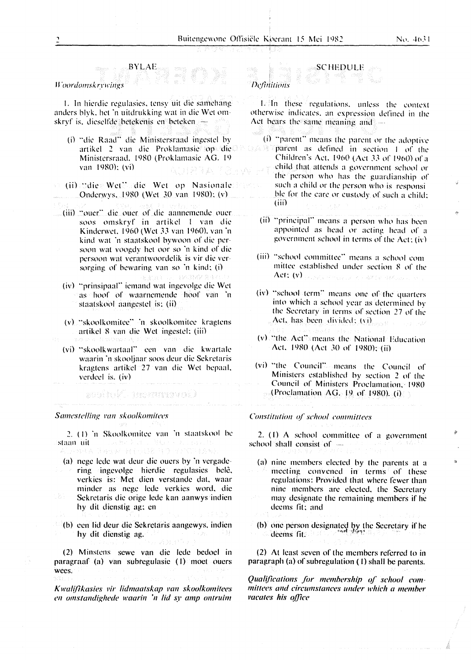*IJ.oordomsk* 1:nrings

I. In hierdie regulasies. tensy uit die samehang anders blyk. het 'n uitdrukking wat in die Wet omskryf is. dieselfde betekenis en beteken

BYLAE

- (i) "die Raad" die Ministersraad ingestel by artikd 2 van die Proklamasie op die Ministersraad. 1980 (Proklamasie AG. 19 van 1980): (vi)
- (ii) "die Wet .. die Wet op Nasionalc Onderwys. 1980 (Wet 30 van 1980); (v)
- (iii) "ouer" die ouer of die aannemende ouer soos omskryf in artikel I van die Kinderwet, 1960 (Wet 33 van 1960), van 'n kind wat 'n staatskool bywoon of die persoon wat voogdy hct oor so 'n kind of die persoon wat verantwoordclik is vir die ver sorging of bewaring van so 'n kind: (i)
	- (iv) "prinsipaal" iemand wat ingevolge die Wet as hoof of waarnemende hoof van 'n staatskool aangestel is: (ii)

**Line Baser** &

- (v) "skoolkomitee" 'n skoolkomitee kragtens artikd R van die Wet ingestel: (iii)
- (vi) "skoolkwartaal" een van die kwartale waarin 'n skooljaar soos deur die Sekrctaris kragtens artikd 27 van die Wet bepaal. verdeel is. (iv)

asaltak tasmayayati

#### *Samcstclling l'mt skoolkomitees*

2. ( I) 'n Skoolkomitce van 'n staatskool be staan uit Julie Berger

그리고 그리고 말을 줄

- (a) ncgc lcdc wat dcur die oucrs by 'n vcrgadcring ingcvolgc hicrdic rcgulasics bclc. verkies is: Met dien verstande dat, waar mindcr as ncgc !cdc vcrkics word. die Sekretaris die orige lede kan aanwys indien hy dit dicnstig ag: en
- $\langle \cdot |$  (b) cen lid deur die Sekretaris aangewys, indien hy dit dienstig ag.

(2) Minstcns scwe van die lede bedoel in paragraaf (a) van subtegulasie (I) moct ouers WCCS.

*Kwalifikasies vir lidmaatskap van skoolkomitees* en *omslalldiglwde ll't.lllrill* 'n *lid* sy amp *ontruim* 

# SCHEDULF *Definitions*

I. In these regulations. unless the context otherwise indicates. an expression defined in the Act bears the same meaning and

- $(i)$  "parent" means the parent or the adoptive  $\cup$   $\triangle$   $\cong$  parent as defined in section 1 of the Children's Act. 1960 (Act 33 of 1960) of a child that attends a government school or the person who has the guardianship of such a child or the person who is responsi ble for the care or custody of such a child; (iii)
	- (ii) "principal" means a person who has been appointed as head or acting head of a government school in terms of the Act;  $(iv)$
	- (iii) "school committee" means a school com mittee established under section  $8$  of the Act:  $(v)$ .
	- (iv) "school term" means one of the quarters into which a school year as determined by the Secretary in terms of section 27 of the Act. has been divided;  $(vi)$
	- (v) "the Act" means the National Education Act. 1980 (Act 30 of 1980): (ii)
	- (vi) "the Council". means the Council of Ministers established by section 2 of the Council of Ministers Proclamation, 1980 (Proclamation  $AG_{\odot}$  19, of 1980). (i)

#### *Constitution of school committees*

2. (I) A school committee of a government school shall consist of -

(a) nine members elected by the parents at a meeting convened in terms of these regulations: Provided that where fewer than nine members are elected. the Secretary may designate the remaining members if he deems fit; and

(b) one person designated by the Secretary if he  $-$  deems fit.

(2) At least seven of the members referred to in paragraph (a) of subregulation (I) shall be parents.

Qualifications for membership of school com*mittees and circumstances under which a member vacates his office*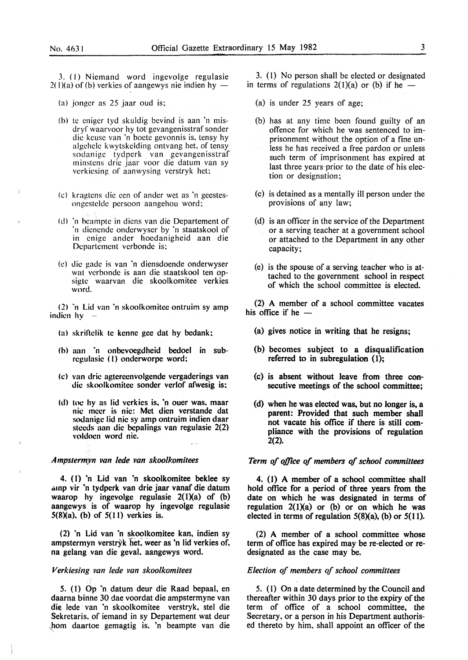3. (I) Niemand word ingevolge regulasie  $2(1)(a)$  of (b) verkies of aangewys nie indien hy -

- (a) jonger as  $25$  jaar oud is;
- (b) te eniger tyd skuldig bevind is aan 'n misdryf waarvoor hy tot gevangenisstraf sonder die keuse van 'n boetc gevonnis is, tensy hy algehele k wytskclding ontvang het, of tensy sodanige tydpcrk van gevangenisstraf minstens drie jaar voor die datum van sy verkiesing of aanwysing verstryk het;
- (c) kragtcns die een of ander wet as 'n geestesongestelde persoon aangehou word;
- (d) 'n bcamptc in dicns van die Departement of ·n dicncndc onderwyser by 'n staatskool of in cnigc ander hoedanigheid aan die Departement verbonde is;
- (e) die gadc is van 'n diensdoende onderwyser wat vcrbondc is aan die staatskool ten opsigtc waarvan die skoolkomitee verkies word.

(2) 'n Lid van 'n skoolkomitee ontruim sy amp indicn  $hy -$ 

- (a) skrillclik tc kenne gee dat hy bedank:
- (h) aan 'n onbevoegdheid bedoel in subrcgulasic (I) onderworpe word:
- (c) van dric agtercenvolgende vergaderings van die skoolkomitcc sonder verlof afwesig is:
- (d) toe hy as lid verkies is. 'n ouer was, maar nic tnccr is nic: Met dien verstande dat sodanigc lid nic sy amp ontruim indien daar steeds aan die bepalings van regulasie 2(2) voldocn word nic.

#### *A mpsterm.vn van lede van skoolkomitees*

4. (I) 'n Lid van 'n skoolkomitee beklee sy amp vir 'n tydperk van drie jaar vanaf die datum waarop hy ingevolge regulasie  $2(1)(a)$  of (b) aangewys is of waarop hy ingevolge regulasie  $5(8)(a)$ , (b) of  $5(11)$  verkies is.

(2) 'n Lid van 'n skoolkomitee kan, indien sy ampstermyn verstryk het, weer as 'n lid verkies of, na gelang van die geval. aangewys word.

### *Verkiesing van lede van skoolkomilees*

5. (I) Op 'n datum deur die Raad bepaal, en daarna binne 30 dae voordat die ampstermyne van die lede van 'n skoolkomitee verstryk, stel die Sekretaris, of iemand in sy Departement wat deur ,hom daartoe gemagtig is. 'n beampte van die

3. (I) No person shall be elected or designated in terms of regulations  $2(1)(a)$  or (b) if he —

- (a) is under 25 years of age;
- (b) has at any time been found guilty of an offence for which he was sentenced to imprisonment without the option of a fine unless he has received a free pardon or unless such term of imprisonment has expired at last three years-prior to the date of his election or designation;
- (c) is detained as a mentally ill person under the provisions of any law;
- (d) is an officer in the service of the Department or a serving teacher at a government school or attached to the Department in any other capacity;
- (e) is the spouse of a serving teacher who is attached to the government school in respect of which the school committee is elected.

(2) A member of a school committee vacates his office if he  $-$ 

- (a) gives notice in writing that he resigns;
- (b) becomes subject to a disqualification referred to in subregulation (1);
- (c) is absent without leave from three consecutive meetings of the school committee;
- (d) when he was elected was, but no longer is, a parent: Provided that such member shall not vacate his office if there is still compliance with the provisions of regulation 2(2).

#### *Term of office of members of school committees*

4. (1) A member of a school committee shall hold office for a period of three years from the date on which he was designated in terms of regulation  $2(1)(a)$  or (b) or on which he was elected in terms of regulation  $5(8)(a)$ , (b) or  $5(11)$ .

(2) A member of a school committee whose term of office has expired may be re-elected or redesignated as the case may be.

#### *Election of members of school committees*

*5.* ( 1) On a date determined by the Council and thereafter within 30 days prior to the expiry of the term of office of a school committee, the Secretary, or a person in his Department authorised thereto by him, shall appoint an officer of the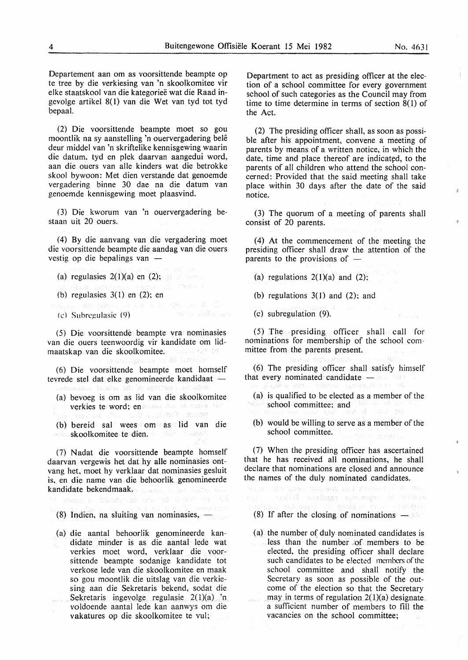an aska

Departement aan om as voorsittende beampte op te tree by die verkiesing van 'n skoolkomitee vir elke staatskool van die kategoriee wat die Raad ingevolge artikel 8(1) van die Wet van tyd tot tyd bepaal.

(2) Die voorsittende beampte moet so gou moontlik na sy aanstelling 'n ouervergadering bele deur middel van 'n skriftelike kennisgewing waarin die datum, tyd en plek daarvan aangedui word, aan die ouers van aile kinders wat die betrokke skool bywoon: Met dien verstande dat genoemde vergadering binne 30 dae na die datum van genoemde kennisgewing moet plaasvind.

(3) Die kworum van 'n ouervergadering bestaan uit 20 ouers.

(4) By die aanvang van die vergadering moet die voorsittende beampte die aandag van die ouers vestig op die bepalings van  $-$ 

- (a) regulasies  $2(1)(a)$  en (2);
- (b) regulasies  $3(1)$  en  $(2)$ ; en
- 
- (c) Suhregulasic (9)

*(* 5) Die voorsittende beam pte vra nominasies van die ouers teenwoordig vir kandidate om lidmaatskap van die skoolkomitee.

(6) Die voorsittende beampte moet homself tevrede stel dat elke genomineerde kandidaat -

(a) bevoeg is om as lid van die skoolkomitee

- verkies te word; en volg stand make the<br>huk maarde straat the band to the stress
- (b) bereid sal wees om as lid van die skoolkomitee te dien. We we have the state

(7) Nadat die voorsittende beampte homself daarvan vergewis het dat hy aile nominasies ontvang het, moet hy verklaar dat nominasies gesluit is. en die name van die behoorlik genomineerde kandidate bekendmaak.

houses i pre an inne ay thi

(8) Indien, na sluiting van nominasies,  $-$ 

(a) die aantal behoorlik genomineerde kandidate minder is as die aantal lede wat verkies moet word, verklaar die voorsittende beampte sodanige kandidate tot verkose lede van die skoolkomitee en maak so gou moontlik die uitslag van die verkiesing aan die Sekretaris bekend, sodat die Sekretaris ingevolge regulasie 2(1)(a) 'n voldoende aantal lede kan aanwys om die vakatures op die skoolkomitee te vul;

Department to act as presiding officer at the election of a school committee for every government school of such categories as the Council may from time to time determine in terms of section  $8(1)$  of the Act.

(2) The presiding officer shall, as soon as possible after his appointment, convene a meeting of parents by means of a written notice, in which the date, time and place thereof are indicated, to the parents of all children who attend the school concerned: Provided that the said meeting shall take place within 30 days after the date of the said notice.

(3) The quorum of a meeting of parents shall consist of 20 parents.

( 4) At the commencement of the meeting the presiding officer shall draw the attention of the parents to the provisions of  $-$ 

- (a) regulations  $2(1)(a)$  and  $(2)$ ;
- (b) regulations  $3(1)$  and  $(2)$ ; and
- (c) subregulation (9).

(5) The presiding officer shall call for nominations for membership of the school committee from the parents present.

(6) The presiding officer shall satisfy himself that every nominated candidate -

- (a) is qualified to be elected as a member of the school committee; and the construction
- (b) would be willing to serve as a member of the school committee.

(7) When the presiding officer has ascertained that he has received all nominations, he shall declare that nominations are closed and announce the names of the duly nominated candidates.

wa an cafe hames wang agap den simenasi si sis wes

- 
- (8) If after the closing of nominations New York 1989.
	- $(a)$  the number of duly nominated candidates is less than the number of members to be elected, the presiding officer shall declare such candidates to be elected members of the school committee and shall notify the Secretary as soon as possible of the outcome of the election so that the Secretary may in terms of regulation  $2(1)(a)$  designate. a sufficient number of members to fill the vacancies on the school committee;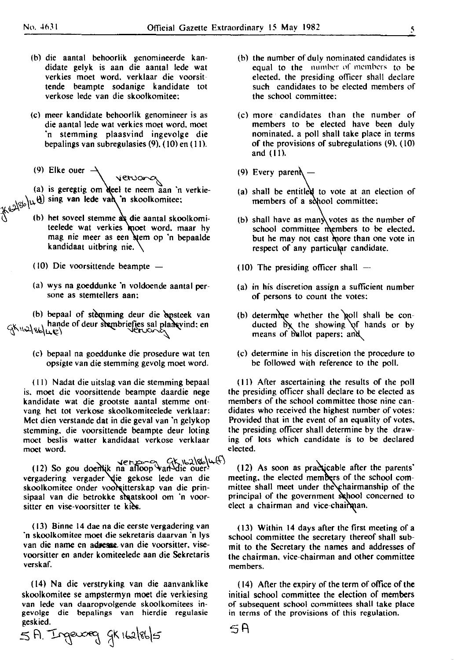Ş.

- (b) die aantal behoorlik genomineerde kandidate gelyk is aan die aantal lede wat verkies moet word. verklaar die voorsittende beampte sodanige kandidate tot verkose lede van die skoolkomitee:
- (c) meer kandidate behoorlik genomineer is as die aantal lede wat verkies moet word. moet 'n stemming plaasvind ingevolge die bepalings van subregulasies (9). ( 10) en (II).
- (9) Elke ouer

 $\sim$ (a) is geregtig om deel te neem aan 'n verkie- $\frac{1}{\sqrt{2}}$  sing van lede van 'n skoolkomitee:

- $\bigcirc$  (b) het soveel stemme as die aantal skoolkomiteelede wat verkies moet word. maar hy mag nie meer as een stem op 'n bepaalde kandidaat uitbring nie.  $\setminus$ 
	- ( 10) Die voorsittende beampte
	- (a) wys na goeddunke 'n voldoende aantal persone as stemtellers aan:

(b) bepaal of stemming deur die epsteek van  $G^k$   $\rightarrow$   $G^k$  ,  $\rightarrow$   $G^k$  ,  $\rightarrow$   $G^k$  ,  $\rightarrow$   $G^k$  .  $\rightarrow$   $G^k$  .  $\rightarrow$   $G^k$  .  $\rightarrow$   $G^k$  .  $\rightarrow$   $G^k$  .  $\rightarrow$   $G^k$  .  $\rightarrow$   $G^k$  .  $\rightarrow$   $G^k$  .  $\rightarrow$   $G^k$  .  $\rightarrow$   $G^k$  .  $\rightarrow$   $G^k$  .  $\rightarrow$   $G^k$  .  $\rightarrow$   $G^k$  .  $\rightarrow$   $G$  $\mathcal{G}$ KILA $\mathcal{G}$ KILE)

> (c) bepaal na goeddunke die prosedure wat ten opsigte van die stemming gevolg moet word.

is. moet die voorsittende beampte daardie nege the presiding officer shall declare to be elected as kandidate wat die grootste aantal stemme ont-<br>vang het tot verkose skoolkomiteelede verklaar: didates who received the highest number of votes: vang het tot verkose skoolkomiteelede verklaar: Met dien verstande dat in die geval van 'n gelykop Provided that in the event of an equality of votes,<br>stemming, die voorsittende beampte deur loting the presiding officer shall determine by the drawstemming, die voorsittende beampte deur loting moet beslis watter kandidaat verkose verklaar ing of lots which candidate is to be declared<br>elected. moet word.

 $\begin{array}{rcl}\n & \text{if } & \text{if } & \text{if } & \text{if } & \text{if } & \text{if } & \text{if } & \text{if } & \text{if } & \text{if } & \text{if } & \text{if } & \text{if } & \text{if } & \text{if } & \text{if } & \text{if } & \text{if } & \text{if } & \text{if } & \text{if } & \text{if } & \text{if } & \text{if } & \text{if } & \text{if } & \text{if } & \text{if } & \text{if } & \text{if } & \text{if } & \text{if } & \text{if } & \text{if } & \text{if } &$ vergadering vergader die gekose lede van die meeting, the elected members of the school com-<br>skoolkomitee onder voorsitterskap van die prin-<br>mittee shall meet under the chairmanship of the skoolkomitee onder voor sitterskap van die prin-<br>sipaal van die betrokke shaatskool om 'n voorsitter en vise-voorsitter te kies. elect a chairman and vice-chairman.

( 13) Binne 14 dae na die eerste vergadering van 'n skoolkomitee moet die sekretaris daarvan 'n lys van die name en adjessie van die voorsitter, visevoorsitter en ander komiteelede aan die Sekretaris verskaf.

( 14) Na die verstryking van die aanvanklike skoolkomitee se ampstermyn moet die verkiesing van lede van daaropvolgende skoolkomitees in**gevolge die bepalings van hierdie regulasie**  geskied. .

 $5A$ . Ingeweg gk 162/86/ $5$ 

- (b) the number of dulv nominated candidates is equal to the number of members to be elected. the presiding officer shall declare such candidates to be elected members of the school committee:
- (c) more candidates than the number of members to be elected have been duly nominated. a poll shall take place in terms of the provisions of subregulations (9). ( IOl and (Ill.
- (9) Every paren $\lambda$  –
- (a) shall be entitled to vote at an election of members of a sohool committee:
- (b) shall have as many votes as the number of school committee members to be elected. but he may not cast more than one vote in respect of any particular candidate.
- (10) The presiding officer shall  $-$
- (a) in his discretion assign a sufficient number of persons to count the votes:
- (b) determine whether the poll shall be conducted by the showing of hands or by means of ballot papers: and
- (c) determine in his discretion the procedure to be followed with reference to the poll.

(II) Nadal die uitslag van die stemming bepaal (Ill After ascertaining the results of the poll

principal of the government school concerned to

( 13) Within 14 days after the first meeting of a school committee the secretary thereof shall submit to the Secretary the names and addresses of the chairman. vice-chairman and other committee **members.** 

( 14) After the expiry of the term of office of the initial school committee the election of members of subsequent school committees shall take place **in terms of the provisions of this regulation.** 

5R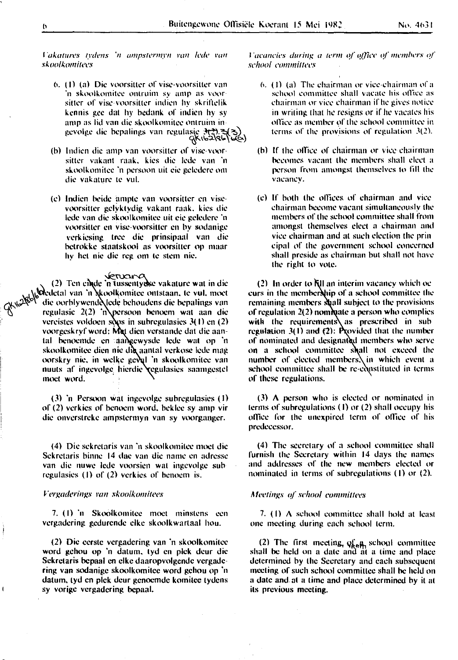*l'akatures tydens 'n ampstermyn van lede van skoolk.omitecs* 

- **6. (1)** (a) Die voorsitter of vise-voorsitter van **in skoolkomitee ontruim sy amp as voor** $s$  itter of visc-voorsitter indien hy skriftelik kcnnis gee dat hy hcdank of indien hy sy amp as lid van die skoolkomitee ontruim ingevolge die bepalings van regulasic 3(3)<br>(Kib2\cb)
- (h) lndicn die amp van voorsittcr of visc-voorsittcr vakant raak. kics die lcdc van 'n skoolkomitee 'n persoon uit eie geledere om die vakature te vul.
- (cl lndien hcidc amptc van voorsittcr en viscvoorsittcr gclyktydig vakant mak. kics die lcdc van die skoolkomitcc uit cic gclcdcrc ·n **voorsiucr en visc-voorsiUcr en by sodanigc**  vcrkicsing tree die prinsipaal van die **hctrok kc stmttskool as voorsiucr op maar hy hct nic die reg o111 tc stem nic.**

 $(2)$  Ten cinde 'n tussentydse vakature wat in die ',)!otdcdctal van 'n *:* ·o<llkomitcc ontstmm. tc vul. moct <sub>CKN</sub>2<sup>888</sup> die oorblywende lede behoudens die hepalings van  $\mathcal{C}$  regulasic 2(2) 'n persoon benoem wat aan die vereistes voldoen soos in subregulasies  $3(1)$  en (2) voorgeskryf word: Met dien verstande dat die aantal benoemde en aangewysde lede wat op 'n skoolkomitee dien nie die aantal verkose lede mag oorskry nie, in welke geval 'n skoolkomitee van nuuts af ingevolge hierdie regulasies saamgestel moet word.

> (3) 'n Pcrsoon wat ingcvolgc suhrcgulasies (I) of (2) verkics of hcnocm word. hcklcc sy amp vir die onverstreke ampstermyn van sy voorganger.

> (4) Die sekretaris van 'n skoolkomitee moet die Sekretaris binne 14 dae van die name en adresse **van die nuwe lede voorsicn wat ingcvolge sub**  regulasies  $(1)$  of  $(2)$  verkies of benoem is.

#### $V$ ergaderings van skoolkomitees

7. (I) 'n Skoolkomitcc moct minstcns ccn vcrgadcring gcdurcndc clkc skoolkwartaal hou.

(2) Die ccrstc vcrgadcring van 'n skoolkomitcc word gchou op 'n datum, tyd en pick dcur die Sckrctaris hcpaal en clkc daaropvolgcndc vcrgadcring van sodanigc skoolkomitcc word gchou op 'n datum, tyd en pick dcur gcnocmdc komitee tydcns sy vorigc vcrgadcring hcpaal.

*l'acancies during a term of office of members of*  $school$  *committees* 

- **6.** (1) (a) The chairman or vice-chairman of a school committee shall vacate his office as **chairman or vice chairman if he gives notice** in writing that he resigns or if he vacates his **office as member of the school committee in** terms of the provisions of regulation 3(2).
- (b) If the office of chairman or vice chairman ~comes **vacant the mcmhcrs shall elect a person** from amongst themselves to fill the **vacancy.**
- (c) If hoth the olliccs. of chairman ami vice **chairman heC'-lllle vacant simultaneously thl·**  *members of the school committee shall from* **amongst themselves elect a chairmom and**  vice chairnum and at such election the prin cipal of the government school concerned shall preside as chairman hut shall not have the right to vote.

 $(2)$  In order to  $\overline{N}$ ll an interim vacancy which oc curs in the membership of a school committee the remaining members **shall** subject to the provisions of regulation  $2(2)$  nominate a person who complies with the requirements as prescribed in subregulation  $3(1)$  and  $(2)$ : Provided that the number of nominated and designated members who serve on a school committee shall not exceed the number of elected members $\lambda$ in which event a school committee shall be re-constituted in terms of these regulations.

 $(3)$  A person who is elected or nominated in terms of suhregulations (I) or (2) shall occupy his office for the unexpired term of office of his **predecessor.** 

(4) The secretary of a school committee shall furnish the Secretary within 14 days the names and addresses of the new members elected or nominated in terms of suhrcgulations (I) or (2).

#### Meetings of school committees

7. (I) A school committee shall hold at least **one meeting during each school term.** 

(2) The first meeting,  $q_{R,8}^f$  school committee shall be held on a date and at a time and place determined hy the Secretary and each subsequent meeting of such school committee shall he held on a date and at a time and place determined hy it at its previous meeting.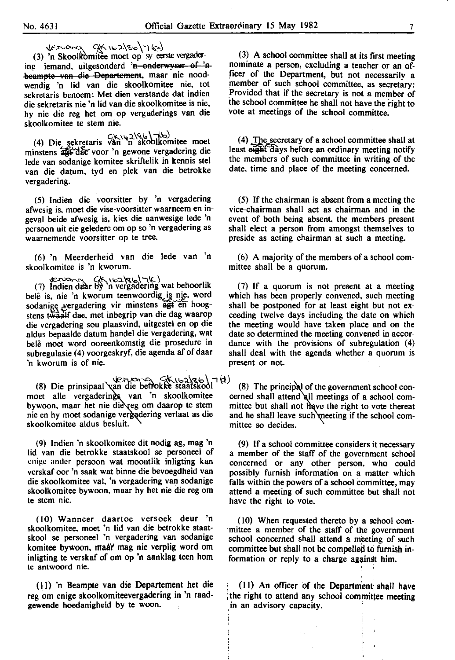$\text{deruard}$   $\text{GK}$   $\text{GK}$   $\text{GSb}$   $\text{T(a)}$ 

(3) 'n Skoolkomitee moet op sy eerste vergadering iemand, uitgesonderd 'n onderwyser of 'n beampte van die Departement, maar nie noodwendig 'n lid van die skoolkomitee nie, tot sekretaris benoem: Met dien verstande dat indien die sekretaris nie 'n lid van die skoolkomitee is nie, hy nie die reg het om op vergaderings van die skoolkomitee te stem nie.

 $C(k \mid k)$  Die sekretaris van 'n skoolkomitee moet minstens and dae voor 'n gewone vergadering die lede van sodanige komitee skriftelik in kennis stet van die datum, tyd en plek van die betrokke vergadering.

(5} lndien die voorsitter by 'n vergadering afwesig is, moet die vise-voorsitter waarneem en ingeval beide afwesig is, kies die aanwesige lede 'n persoon uit eie geledere om op so 'n vergadering as waarnemende voorsitter op te tree.

(6) 'n Meerderheid van die lede van 'n skoolkomitee is 'n kworum.

 $\text{if } (7) \text{ Indien data by 'n vergadering wat behoorlik?}$ belê is, nie 'n kworum teenwoordig is nie, word sodanige vergadering vir minstens agt en hoogstens twaalf dae, met inbegrip van die dag waarop die vergadering sou plaasvind, uitgestel en op die aldus bepaalde datum handel die vergadering, wat bele moet word ooreenkomstig die prosedure in subregulasie (4) voorgeskryf, die agenda af of daar 'n kworum is of nie.

 $\forall x \in \mathbb{R} \cup \exists x \in \{1, 0, 1\}$  (8) The principal of the government school con-<br>(8) Die principaal van die beflokkte staatskool (8) The principal of the government school conmoet alle vergadering van 'n skoolkomitee cerned shall attend all meetings of a school com-<br>bywoon, maar het nie die eg om daarop te stem mittee but shall not have the right to vote thereat bywoon, maar het nie die eg om daarop te stem mittee but shall not have the right to vote thereat nie en hy moet sodanige vergadering verlaat as die and he shall leave such meeting if the school comskoolkomitee aldus besluit.  $\sqrt{m}$  mittee so decides.

(9) lndien 'n skoolkomitee dit nodig ag, mag 'n lid van die betrokke staatskool se personeel of enige ander persoon wat moontlik inligting kan verskaf oor 'n saak wat binne die bevoegdheid van die skoolkomitee val, 'n vergadering van sodanige skoolkomitee bywoon, maar hy het nie die reg om te stem nie.

(10) Wanneer daartoe versoek deur 'n skoolkomitee. moet 'n lid van die betrokke staat· skool se personeel 'n vergadering van sodanige komitee bywoon, ntaal' mag nie verplig word om inligting te verskaf of om op 'n aanklag teen hom te antwoord nie.

(II) 'n Beam pte van die Departement bet die reg om enige skoolkomiteevergadering in 'n raadgewende hoedanigheid by te woon.

(3) A school committee shall at its first meeting nominate a person, excluding a teacher or an officer of the Department, but not necessarily a member of such school committee, as secretary: Provided that if the secretary is not a member of the school committee he shall not have the right to vote at meetings of the school committee.

 $(4)$  The secretary of a school committee shall at least eight days before an ordinary meeting notify the members of such committee in writing of the date, time and place of the meeting concerned.

(5) If the chairman is absent from a meeting the vice-chairman shall act as chairman and in the event of both being absent, the members present shall elect a person from amongst themselves to preside as acting chairman at such a meeting.

( 6) A majority of the members of a school committee shall be a quorum.

(7) If a quorum is not present at a meeting which has been properly convened, such meeting shall be postponed for at least eight but not exceeding twelve days including the date on which the meeting would have taken place and on the date so determined the meeting convened in accordance with the provisions of subregulation  $(4)$ shall deal with the agenda whether a quorum is present or not.

and he shall leave such meeting if the school com-

(9) If a school committee considers it necessary a member of the staff of the government school concerned or any other person, who could possibly furnish information on a matter which falls within the powers of a school committee, may attend a meeting of such committee but shall not have the right to vote.

(10) When requested thereto by a school com- : mittee a member of the staff of the government school concerned shall attend a meeting of such committee but shall not be compelled to furnish information or reply to a charge against him.

(II) An officer of the Department· shall have the right to attend any school committee meeting in an advisory capacity.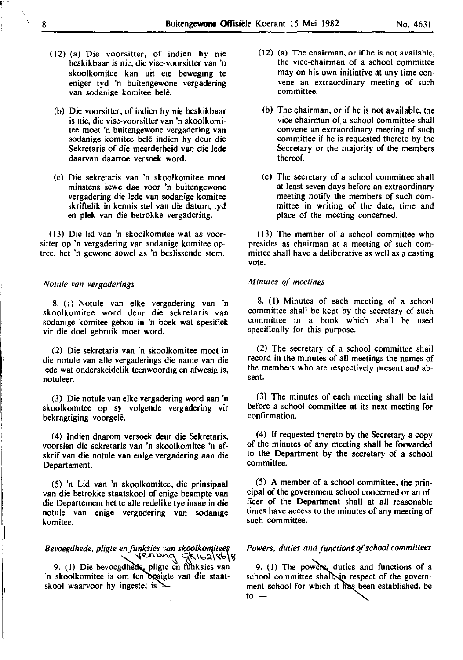- (12) (a) Die voorsitter, of indien hy nie beskikbaar is nie, die vise-voorsitter van 'n skoolkomitee kan uit eie beweging te eniger tyd 'n buitengewone vergadering van sodanige komitee belê.
- (b) Die voorsitter, of indien hy nie beskikbaar is nie, die vise-voorsitter van 'n skoolkomitee moet 'n buitengewone vergadering van sodanige komitee belê indien hy deur die Sekretaris of die meerderheid van die lede daarvan daartoe versoek word.
- (c) Die sekretaris van 'n skoolkomitee moet minstens sewe dae voor 'n buitengewone vergadering die lede van sodanige komitee skrifielik in kennis stel van die datum, tyd en plek van die betrokke vergadering.

(13) Die lid van 'n skoolkomitee wat as voorsitter op 'n vergadering van sodanige komitee optree. het 'n gewone sowel as 'n beslissende stem.

#### *Notule van vergaderings*

8. (I) Notule van elke vergadering van 'n skoolkomitee word deur die sekretaris van sodanige komitee gehou in 'n boek wat spesifiek vir die doel gebruik moet word.

(2) Die sekretaris van 'n skoolkomitee moet in die notule van aile vergaderings die name van die lede wat onderskeidelik teenwoordig en afwesig is, notuleer.

(3) Die notule van elke vergadering word aan 'n skoolkomitee op sy volgende vergadering vir bekragtiging voorgelê.

(4) lndien daarom versoek deur die Sekretaris, voorsien die sekretaris van 'n skoolkomitee 'n afskrif van die notule van enige vergadering aan die Departement.

(5) 'n Lid van 'n skoolkomitee, die prinsipaal van die betrokke staatskool of enige beampte van die Departement het te aile redelike tye insae in die notule van enige vergadering van sodanige komitee.

# *Bevoegdhede, p/igte en funksies van skoolko"'.iteef* \{~ Sl\_'f:..llo:l.\~fo,~

9. (1) Die bevoegdhede, pligte en funksies van 'n skoolkomitee is om ten opsigte van die staatskool waarvoor hy ingestel is

I l,

- (12) (a) The chairman, or if he is not available, the vice-chairman of a school committee may on his own initiative at any time convene an extraordinary meeting of such **committee.** 
	- (b) The chairman, or if he is not available, the vice-chairman of a school committee shall convene an extraordinary meeting of such committee if he is requested thereto by the Secretary or the majority of the members thereof.
	- (c) The secretary of a school committee shall at least seven days before an extraordinary meeting notify, the members of such committee in writing of the date, time and place of the meeting concerned.

(13) The member of a school committee who presides as chairman at a meeting of such committee shall have a deliberative as well as a casting vote.

#### *Minutes of meetings*

8. (I) Minutes of each meeting of a school committee shall be kept by the secretary of such committee in a book which shall be used specifically for this purpose.

(2) The secretary of a school committee shall record in the minutes of all meetings the names of the members who are respectively present and absent.

(3) The minutes of each meeting shall be laid before a school committee at its next meeting for confirmation.

(4) If requested thereto by the Secretary a copy of the minutes of any meeting shall be forwarded to the Department by the secretary of a school committee.

(5) A member of a school committee, the principal of the government school concerned or an officer of the Department shall at all reasonable times have access to the minutes of any meeting of such committee.

#### Powers, duties and functions of school committees

9. (1) The powers, duties and functions of a school committee shall, in respect of the government school for which it has been established, be  $\mathbf{t}$ o $\mathbf{-}$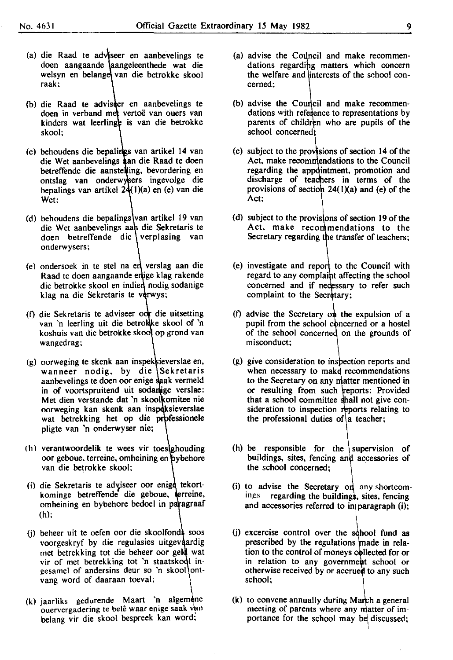- (a) die Raad te adviseer en aanbevelings te doen aangaande laangeleenthede wat die welsyn en belange van die betrokke skool raak;
- (b) die Raad te advisser en aanbevelings te doen in verband met vertoë van ouers van kinders wat leerlinge is van die betrokke skool;
- (c) behoudens die bepalings van artikel 14 van die Wet aanbevelings aan die Raad te doen betreffende die aanstelling, bevordering en ontslag van onderwysers ingevolge die bepalings van artikel  $24(1)(a)$  en (e) van die Wet:
- (d) behoudens die bepalings van artikel 19 van die Wet aanbevelings aah die Sekretaris te doen betreffende die verplasing van onderwysers;
- $(e)$  ondersoek in te stel na en verslag aan die Raad te doen aangaande enlige klag rakende die betrokke skool en indien nodig sodanige klag na die Sekretaris te verwys;
- (f) die Sekretaris te adviseer oor die uitsetting van 'n leerling uit die betrokke skool of 'n koshuis van die betrokke skool op grond van wangedrag;
- (g) oorweging te skenk aan inspek ieverslae en, wanneer nodig, by die Sekretaris aanbevelings te doen oor enige saak vermeld in of voortspruitend uit sodanlige verslae: Met dien verstande dat 'n skoolkomitee nie oorweging kan skenk aan inspeksieverslae wat betrekking het op die professionele pligte van 'n onderwyser nie;
- (h) verantwoordelik te wees vir toesighouding oor geboue. terreine. omheining en van die betrokke skool;
- (i) die Sekretaris te adviseer oor enige tekortkominge betreffende die geboue, terreine, omheining en bybehore bedoel in paragraaf (h);
- (i) beheer uit te oefen oor die skoolfonds soos voorgeskryf by die regulasies uitgevaardig met betrekking tot die beheer oor geld wat vir of met betrekking tot 'n staatskool ingesamel of andersins deur so 'n skool ontvang word of daaraan toeval; \
- (k) jaarliks gedurende Maart 'n algemene ouervergadering te belê waar enige saak van belang vir die skool bespreek kan word;
- (a) advise the Council and make recommendations regarding matters which concern the welfare and interests of the sehool concerned;
- (b) advise the Council and make recommendations with reference to representations by parents of children who are pupils of the school concerned
- $(c)$  subject to the provisions of section 14 of the Act, make recommendations to the Council regarding the appointment, promotion and discharge of teachers in terms of the provisions of section  $24(1)(a)$  and (e) of the Act;
- (d) subject to the provisions of section 19 of the Act, make recommendations to the Secretary regarding the transfer of teachers;
- $(e)$  investigate and report to the Council with regard to any complaint affecting the school concerned and if necessary to refer such complaint to the Secretary;
- (f) advise the Secretary on the expulsion of a pupil from the school concerned or a hostel of the school concerned on the grounds of misconduct;
- (g) give consideration to inspection reports and when necessary to make recommendations to the Secretary on any matter mentioned in or resulting from such reports: Provided that a school committee shall not give consideration to inspection reports relating to the professional duties of a teacher;
- (h) be responsible for the supervision of buildings, sites, fencing and accessories of the school concerned;
- (i) to advise the Secretary on any shortcomings regarding the buildings, sites, fencing and accessories referred to in paragraph  $(i)$ ;
- $(i)$  excercise control over the school fund as prescribed by the regulations made in relation to the control of moneys collected for or in relation to any government school or otherwise received by or accrued to any such school;
- $(k)$  to convene annually during March a general meeting of parents where any matter of importance for the school may be discussed;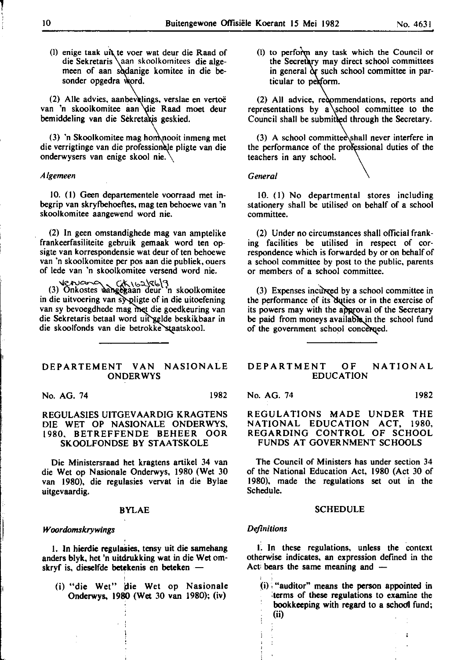(I) enige taak uit te voer wat deur die Raad of die Sekretaris \aan skoolkomitees die algemeen of aan sodanige komitee in die besonder opgedra word.

(2) Alle advies, aanbevelings, verslae en vertoë van 'n skoolkomitee aan die Raad moet deur bemiddeling van die Sekretakis geskied.

 $(3)$  'n Skoolkomitee mag hom nooit inmeng met die verrigtinge van die professionele pligte van die onderwysers van enige skool nie.

#### *Algemeen*

10. (1) Geen departementele voorraad met inbegrip van skryfbehoefies, mag ten behoewe van 'n skoolkomitee aangewend word nie.

(2) In geen omstandighede mag van amptelike frankeerfasiliteite gebruik gemaak word ten opsigte van korrespondensie wat deur of ten behoewe van 'n skoolkomitee per pos aan die publiek, ouers of lede van 'n skoolkomitee versend word nie.

Vervous CK 162 R6 9<br>(3) Onkostes aangegaan deur 'n skoolkomitee in die uitvoering van sy pligte of in die uitoefening van sy bevoegdhede mag met die goedkeuring van die Sekretaris betaal word uit gelde beskikbaar in die skoolfonds van die betrokke staatskool.

#### DEPARTEMENT VAN NASIONALE ONDERWYS

No. AG. 74 1982

#### REGULASIES UITGEVAARDIG KRAGTENS DIE WET OP NASIONALE ONDERWYS, 1980, BETREFFENDE BEHEER OOR SKOOLFONDSE BY STAATSKOLE

Die Ministersraad het kragtens artikel 34 van die Wet op Nasionale Onderwys, 1980 (Wet 30 van 1980), die regulasies vervat in die Bylae uitgevaardig.

#### BYLAE

#### *Woordomskrywings*

 $\vert$ 

1. In hierdie regulasies, tensy uit die samehang anders blyk, het 'n uitdrukking wat in die Wet omskryf is, dieselfde betekenis en beteken  $-$ 

(i) "die Wet" die Wet op Nasionale Onderwys, 1980 (Wet 30 van 1980); (iv)

(I) to perform any task which the Council or the Secretary may direct school committees in general or such school committee in particular to pexform.

(2) All advice, redommendations, reports and representations by a school committee to the Council shall be submitted through the Secretary.

(3) A school committee shall never interfere in the performance of the professional duties of the teachers in any school.

#### *General*

10. (I) No departmental stores including stationery shall be utilised on behalf of a school committee.

(2) Under no circumstances shall official franking facilities be utilised in respect of correspondence which is forwarded by or on behalf of a school committee by post to the public, parents or members of a school committee.

 $(3)$  Expenses incurred by a school committee in the performance of its duties or in the exercise of its powers may with the approval of the Secretary be paid from moneys available in the school fund of the government school concerned.

#### DEPARTMENT OF NATIONAL EDUCATION

No. AG. 74 1982

#### REGULATIONS MADE UNDER THE NATIONAL EDUCATION ACT, 1980, REGARDING CONTROL OF SCHOOL FUNDS AT GOVERNMENT SCHOOLS

The Council of Ministers has under section 34 of the National Education Act, 1980 (Act 30 of 1980), made the regulations set out in the Schedule.

#### **SCHEDULE**

#### *Definitions*

I. In these regulations, unless the context otherwise indicates, an expression defmed in the Act bears the same meaning and  $-$ 

(i) , "auditor" means the person appointed in terms of these regulations to examine the bookkeeping with regard to a school fund; (ii)

l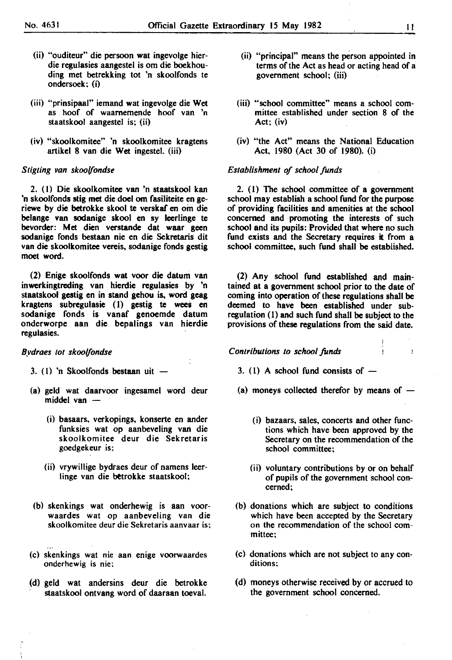$\ddot{\phantom{a}}$ 

- (ii) "ouditeur" die persoon wat ingevolge bierdie regulasies aangestel is om die boekhouding met betrekking tot 'n skoolfonds te ondersoek; (i)
- (iii) "prinsipaal" iemand wat ingevolge die Wet as hoof of waarnemende hoof van 'n staatskool aangestel is; (ii)
- (iv) "skoolkomitee" 'n skoolkomitee kragtens artikel 8 van die Wet ingestel. (iii)

#### *Stigting van skoolfondse*

2. (I) Die skoolkomitee van 'n staatskool kan 'n skoolfonds stig met die doe! om fasiliteite en geriewe by die betrokke skool te verskaf en om die belange van sodanige skool en sy leerlinge te bevorder: Met dien verstande dat waar geen sodanige fonds bestaan nie en die Sekretaris dit van die skoolkomitee vereis, sodanige fonds gestig moet word.

(2) Enige skoolfonds wat voor die datum van inwerkingtreding van hierdie regulasies by 'n staatskool gestig en in stand gehou is, word geag kragtens subregulasie (I) gestig te wees en sodanige fonds is vanaf genoemde datum onderworpe aan die bepalings van hierdie regulasies.

*Bydraes tot skoolfondse* 

- 3. (I) 'n Skoolfonds bestaan uit
- (a) geld wat daarvoor ingesamel word deur  $mid$  van  $-$ 
	- (i) basaars, verkopings, konserte en ander funksies wat op aanbeveling van die skoolkomitee deur die Sekretaris goedgekeur is;
	- (ii) vrywillige bydraes deur of namens leerlinge van die betrokke staatskool;
- (b) skenkings wat onderhewig is aan voorwaardes wat op aanbeveling van die skoolkomitee deur die Sekretaris aanvaar is;
- (c) skenkings wat nie aan enige voorwaardes onderhewig is nie;
- (d) geld wat andersins deur die betrokke staatskool ontvang word of daaraan toeval.
- (ii) "principal" means the person appointed in terms of the Act as head or acting head of a government school; (iii)
- (iii) "school committee" means a school committee established under section 8 of the Act; (iv)
- (iv) "the Act" means the National Education Act, 1980 (Act 30 of 1980). (i)

#### *Establishment of school funds*

2. (I) The school committee of a government school may establish a school fund for the purpose of providing facilities and amenities at the school concerned and promoting the interests of such school and its pupils: Provided that where no such fund exists and the Secretary requires it from a school committee, such fund shall be established.

(2) Any school fund established and maintained at a government school prior to the date of coming into operation of these regulations shall be deemed to have been established under subregulation (I) and such fund shall be subject to the provisions of these regulations from the said date.

*Contributions to school funds* 

- 3. (1) A school fund consists of  $-$
- (a) moneys collected therefor by means of  $-$ 
	- ( i) bazaars, sales, concerts and other functions which have been approved by the Secretary on the recommendation of the school committee;
	- (ii) voluntary contributions by or on behalf of pupils of the government school concerned;
- (b) donations which are subject to conditions which have been accepted by the Secretary on the recommendation of the school committee;
- (c) donations which are not subject to any conditions;
- (d) moneys otherwise received by or accrued to the government school concerned.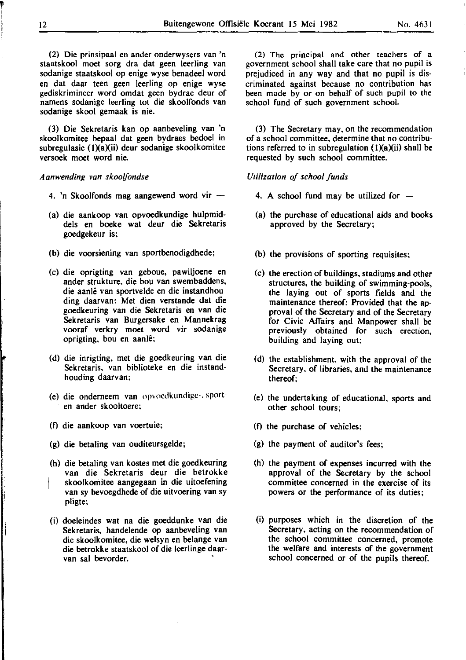(2) Die prinsipaal en ander onderwysers van 'n staatskool moet sorg dra dat geen leerling van sodanige staatskool op enige wyse benadeel word en dat daar teen geen leerling op enige wyse gediskrimineer word omdat geen bydrae deur of namens sodanige leerling tot die skoolfonds van sodanige skool gemaak is nie.

(3) Die Sekretaris kan op aanbeveling van 'n skoolkomitee bepaal dat geen bydraes bedoel in subregulasie (IXaXii) deur sodanige skoolkomitee versoek moet word nie.

#### *A anwending van skoo!fondse*

- 4. 'n Skoolfonds mag aangewend word vir
- (a) die aankoop van opvoedkundige hulpmiddels en boeke wat deur die Sekretaris goedgekeur is;
- (b) die voorsiening van sportbenodigdhede;
- (c) die oprigting van geboue, pawiljoene en ander strukture, die bou van swembaddens, die aanle van sportvelde en die instandhouding daarvan: Met dien verstande dat die goedkeuring van die Sekretaris en van die Sekretaris van Burgersake en Mannekrag vooraf verkry moet word vir sodanige oprigting, bou en aanle;
- (d) die inrigting, met die goedkeuring van die Sekretaris, van biblioteke en die instandhouding daarvan;
- (e) die onderneem van opvocdkundigc·. sporten ander skooltoere;
- (f) die aankoop van voertuie;
- (g) die betaling van ouditeursgelde;
- (h) die betaling van kostes met die goedkeuring van die Sekretaris deur die betrokke skoolkomitee aangegaan in die uitoefening van sy bevoegdhede of die uitvoering van sy pligte;
- (i) doeleindes wat na die goeddunke van die Sekretaris, handelende op aanbeveling van die skoolkomitee, die welsyn en belange van die betrokke staatskool of die leerlinge daarvan sal bevorder.

(2) The principal and other teachers of a government school shall take care that no pupil is prejudiced in any way and that no pupil is discriminated against because no contribution has been made by or on behalf of such pupil to the school fund of such government school.

(3) The Secretary may, on the recommendation of a school committee, determine that no contributions referred to in subregulation  $(1)(a)(ii)$  shall be requested by such school committee.

#### *Utilization of school funds*

- 4. A school fund may be utilized for  $-$
- (a) the purchase of educational aids and books approved by the Secretary;
- (b) the provisions of sporting requisites;
- (c) the erection of buildings, stadiums and other structures, the building of swimming-pools, the laying out of sports fields and the maintenance thereof: Provided that the approval of the Secretary and of the Secretary for Civic Affairs and Manpower shall be previously obtained for such erection, building and laying out;
- (d) the establishment, with the approval of the Secretary, of libraries, and the maintenance thereof;
- (e) the undertaking of educational, sports and other school tours;
- (f) the purchase of vehicles;
- (g) the payment of auditor's fees;
- (h) the payment of expenses incurred with the approval of the Secretary by the school committee concerned in the exercise of its powers or the performance of its duties;
- (i) purposes which in the discretion of the Secretary, acting on the recommendation of the school committee concerned, promote the welfare and interests of the government school concerned or of the pupils thereof.

T '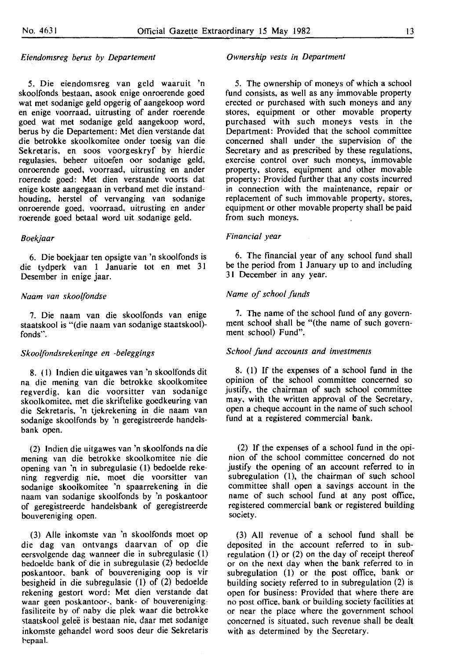#### *Eiendomsreg berus by Departement*

5. Die eiendomsreg van geld waaruit 'n skoolfonds bestaan, asook enige onroerende goed wat met sodanige geld opgerig of aangekoop word en enige voorraad, uitrusting of ander roerende goed wat met sodanige geld aangekoop word, berus by die Departement: Met dien verstande dat die betrokke skoolkomitee onder toesig van die Sekretaris, en soos voorgeskryf by hierdie regulasies, beheer uitoefen oor sodanige geld, onroerende goed, voorraad, uitrusting en ander roerende goed: Met dien verstande voorts dat enige koste aangegaan in verband met die instandhouding, herstel of vervanging van sodanige onroerende goed, voorraad, uitrusting en ander roerende goed betaal word uit sodanige geld.

#### *Boekjaar*

6. Die boekjaar ten opsigte van 'n skoolfonds is die tydperk van 1 Januarie tot en met 31 Desember in enige jaar.

#### *Naam van skoo/fondse*

7. Die naam van die skoolfonds van enige staatskool is "(die naam van sodanige staatskoot) fonds".

#### *Skoolfondsrekeninge en -be/eggings*

8. ( l) Indien die uitgawes van 'n skoolfonds dit na die mening van die betrokke skoolkomitee regverdig. kan die voorsitter van sodanige skoolkomitee, met die skriftelike goedkeuring van die Sekretaris, 'n tjekrekening in die naam van sodanige skoolfonds by 'n geregistreerde handelsbank open.

(2) lndien die uitgawes van 'n skoolfonds na die mening van die betrokke skoolkomitee nie die opening van 'n in subregulasie (1) bedoelde rekening regverdig nie, moet die voorsitter van sodanige skoolkomitee 'n spaarrekening in die naam van sodanige skoolfonds by 'n poskantoor of geregistreerde handelsbank of geregistreerde bouvereniging open.

(3) Aile inkomste van 'n skoolfonds moet op die dag van ontvangs daarvan of op die eersvolgende dag wanneer die in subregulasie (1) bedoelde bank of die in subregulasie (2) bedoelde poskantoor. bank of bouvereniging oop is vir besigheid in die subregulasie (I) of (2) bedoelde rekening gestort word: Met dien verstande dat waar geen poskantoor-. bank- of bouverenigingfasiliteite by of naby die plek waar die betrokke staatskool gelee is bestaan nie, daar met sodanige inkomste gehandel word soos deur die Sekretaris repaal.

#### *Ownership vests in Department*

5. The ownership of moneys of which a school fund consists, as well as any immovable property erected or purchased with such moneys and any stores, equipment or other movable property purchased with such moneys vests in the Department: Provided that the school committee concerned shall under the supervision of the Secretary and as prescribed by these regulations, exercise control over such moneys, immovable property, stores, equipment and other movable property: Provided further that any costs incurred in connection with the maintenance, repair or replacement of such immovable property, stores, equipment or other movable property shall be paid from such moneys.

#### *Financial year*

6. The financial year of any school fund shall be the period from 1 January up to and including 31 December in any year.

#### *Name of school funds*

7. The name of the school fund of any government school shall be "(the name of such government school) Fund".

#### *School fund accounts and investments*

8. (I) If the expenses of a school fund in the opinion of the school committee concerned so justify, the chairman of such school committee may, with the written approval of the Secretary, open a cheque account in the name of such school fund at a registered commercial bank.

(2) If the expenses of a school fund in the opinion of the school committee concerned do not justify the opening of an account referred to in subregulation (1), the chairman of such school committee shall open a savings account in the name of such school fund at any post office, registered commercial bank or registered building society.

(3) All revenue of a school fund shall be deposited in the account referred to in subregulation  $(1)$  or  $(2)$  on the day of receipt thereof or on the next day when the bank referred to in subregulation (I) or the post office, bank or building society referred to in subregulation (2) is open for business: Provided that where there are no post office, bank or building society facilities at or near the place where the government school concerned is situated, such revenue shall be dealt with as determined by the Secretary.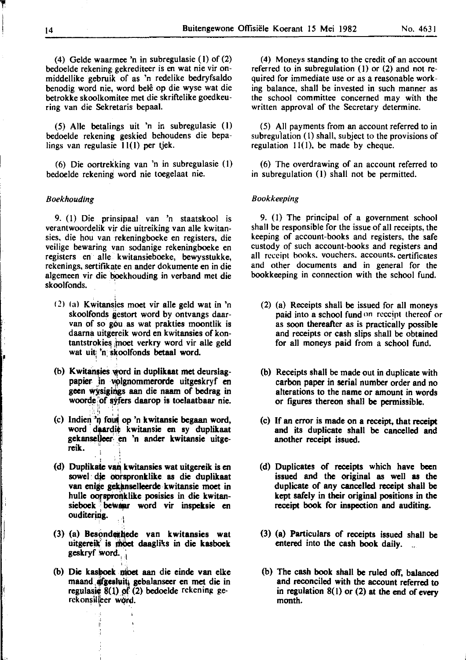(4) Gelde waarmee 'n in subregulasie (I) of (2) bedoelde rekening: gekrediteer is en wat nie vir onmiddellike gebruik of as 'n redelike bedryfsaldo benodig word nie, word belê op die wyse wat die betrokke skoolkomitee met die skriftelike goedkeuring van die Sekretaris bepaal.

(5) Aile betalings uit 'n in subregulasie (I) bedoelde rekening geskied behoudens die bepalings van regulasie 11(1) per tjek.

(6) Die oortrekking van 'n in subregulasie (I) bedoelde rekening word nie toegelaat nie.

#### *Boekhouding*

i· I

9. (I) Die prinsipaal van 'n staatskool is verantwoordelik vjr die uitreiking van aile kwitansies, die hou van rekeningboeke en registers, die veilige bewaring van sodanige rekeningboeke en registers en aile kwitansieboeke, bewysstukke, rekenings, sertifikate en ander dokumente en in die algemeen vir die boekhouding in verband met die skoolfonds.

- (2) (a) Kwitansies moet vir alle geld wat in 'n skoolfonds gestort word by ontvangs daarvan of so gou as wat prakties moontlik is daarna uitgereik word en kwitansies of kontantstrokies moet verkry word vir alle geld wat uit 'n skoolfonds betaal word.
- (b) Kwitansies word in duplikaat met deurslagpapier in volgnommerorde uitgeskryf en geen wysigings aan die naam of bedrag in woorde of syfers daarop is toelaatbaar nie.
- (c) Indien 'n fout op 'n kwitansie begaan word, word daardie kwitansie en sy duplikaat gekanselleer: en 'n ander kwitansie uitge-<br>reik. '

<sup>~</sup>; l

- (d) Duplikale van kwitansies wat uitgereik is en sowel die oorspronklike as die duplikaat van enige gekanselleerde kwitansie moet in hulle oorspronklike posisies in die kwitansieboek bewaar word vir inspeksie en ouditering.
- (3) (a) Besondezhede van kwitansies wat uitgereik<sup>i</sup> is moet daagliks in die kasboek geskryf word.
- (b) Die kashoek moet aan die einde van elke maand afgesluit, gebalanseer en met die in regulasie  $8(1)$  of (2) bedoelde rckening gerckonsilieer word.

(4) Moneys standing to the credit of an account referred to in subregulation (I) or (2) and not required for immediate use or as a reasonable working balance, shall be invested in such manner as the school committee concerned may with the written approval of the Secretary determine.

(5) All payments from an account referred to in subregulation (I) shall, subject to the provisions of regulation 11(1), be made by cheque.

(6) The overdrawing of an account referred to in subregulation (I) shall not be permitted.

#### *Bookkeeping*

9. (I) The principal of a government school shall be responsible for the issue of all receipts, the keeping of account-books and registers, the safe custody of such account-books and registers and all receipt books. vouchers. accounts. certificates and other documents and in general for the bookkeeping in connection with the school fund.

- (2) (a) Receipts shall be issued for all moneys paid into a school fund on receipt thereof or as soon thereafter as is practically possible and receipts or cash slips shall be obtained for all moneys paid from a school fund.
- (b) Receipts shall be made out in duplicate with carbon paper in serial number order and no alterations to the name or amount in words or figures thereon shall be permissible.
- (c) If an error is made on a receipt, that receipt and its duplicate shall be cancelled and another receipt issued.
- (d) Duplicates of receipts which have been issued and the original as well as the duplicate of any cancelled receipt shall be kept aafely in their original positions in the receipt book for inspection and auditing.
- (3) (a) Particulars of receipts issued shall be entered into the cash book daily.
- (b) The cash book shall be ruled off, balanced and reconciled with the account referred to in regulation 8(1) or (2) at the end of every month.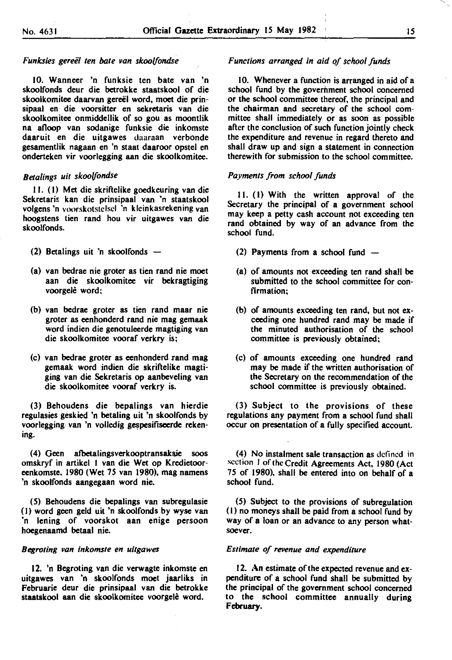#### *Funksies gereel ten bate* ~an *skoolfondse*

10. Wanneer 'n funksie ten bate van 'n skoolfonds deur die betrokke staatskool of die skoolkomitee daarvan gereël word, moet die prinsipaal en die voorsitter en sekretaris van die skoolkomitee onmiddellik of so gou as moontlik na alloop van sodanige funksie die inkomste daaruit en die uitgawes daaraan verbonde gesamentlik nagaan en 'n staat daaroor opstel en onderteken vir voorlegging aan die skoolkomitee.

### *Betalings uil skoo/fondse*

II. (I) Met die skriftelike goedkeuring van die Sekretaris kan die prinsipaal van 'n staatskool volgens 'n voorskotstelsel 'n kleinkasrekening van hoogstens tien rand hou vir uitgawes van die skoolfonds.

- (2) Betalings uit 'n skoolfonds
- (a) van bedrae nie groter as tien rand nie moet aan die skoolkomitee vir bekragtiging voorgele word;
- (b) van bedrae groter as tien rand maar nie groter as eenhonderd rand nie mag gemaak word indien die genotuleerde magtiging van die skoolkomitee vooraf verkry is;
- (c) van bedrae groter as eenhonderd rand mag gemaak word indien die skriftelike magtiging van die Sekretaris op aanbeveling van die skoolkomitee vooraf verkry is.

(3) Behoudens die bepalings van hierdie regulasies geskied 'n betaling uit 'n skoolfonds by voorlegging van 'n volledig gespesifiseerde rekening.

(4) Geen afbetalingsverkooptransaksie soos omskryf in artikel I van die Wet op Kredietooreenkomste. 1980 (Wet 75 van 1980), mag namens 'n skoolfonds aangegaan word nie.

(5) Behoudens die bepalings van subregulasie (I) word geen geld uit 'n skoolfonds by wyse van 'n lening of voorskot aan enige persoon hoegenaamd betaal nie.

#### *Begroting* ~an *inkomste en uitgawes*

12. 'n Begroting van die verwagte inkomste en uitgawes van 'n skoolfonds moet jaarliks in Februarie deur die prinsipaal van die betrokke staatakool aan die skoolkomitee voorgele word.

#### *Functions arranged* in *aid of school funds*

10. Whenever a function is arranged in aid of a school fund by the government school concerned or the school committee thereof, the principal and the chairman and secretary of the school committee shall immediately or as soon as possible after the conclusion of such function jointly check the expenditure and revenue in regard thereto and shall draw up and sign a statement in connection therewith for submission to the school committee.

#### *Payments from school funds*

II. (I) With the written approval of the Secretary the principal of a government school may keep a petty cash account not exceeding ten rand obtained by way of an advance from the school fund.

- (2) Payments from a school fund  $-$
- (a) of amounts not exceeding ten rand shall be submitted to the school committee for confirmation;
- (b) of amounts exceeding ten rand, but not exceeding one hundred rand may be made if the minuted authorisation of the school committee is previously obtained;
- (c) of amounts exceeding one hundred rand may be made if the written authorisation of the Secretary on the recommendation of the school committee is previously obtained.

(3) Subject to the provisions of these regulations any payment from a school fund shall occur on presentation of a fully specified account.

(4) No instalment sale transaction as defined in section 1 of the Credit Agreements Act, 1980 (Act 75 of 1980), shall be entered into on behalf of a school fund.

(5) Subject to the provisions of subregulation (I) no moneys shall be paid from a school fund by way of a loan or an advance to any person whatsoever.

#### *Estimate of revenue and expenditure*

12. An estimate of the expected revenue and expenditure of a school fund shall be submitted by the principal of the government school concerned to the school committee annually during February.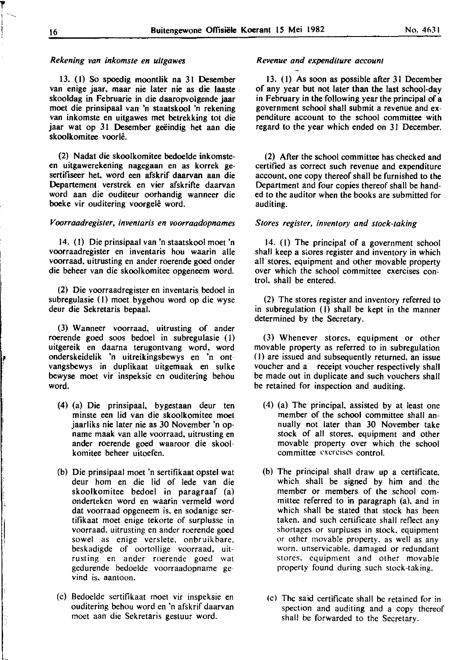#### *Rekening van inkomste en uitgawes*

13. (I) So spoedig moontlik na 31 Desember van enige jaar, maar nie later nie as die laaste skooldag in Februarie in die daaropvolgende jaar moet die prinsipaal van 'n staatskool 'n rekening van inkomste en uitgawes met betrekking tot die jaar wat op 31 Desember geëindig het aan die skoolkomitee voorle.

(2) Nadal die skoolkomitee bedoelde inkomsteen uitgawerekening nagegaan en as korrek gesertifiseer het, word een afskrif daarvan aan die Departement verstrek en vier afskrifte daarvan word aan die ouditeur oorhandig wanneer die boeke vir ouditering voorgelê word.

#### *V oorraadregister, inventaris en voorraadopnames*

14. (I) Die prinsipaal van 'n staatskool moet 'n voorraadregister en inventaris hou waarin aile voorraad, uitrusting en ander roerende goed onder die beheer van die skoolkomitee opgeneem word.

(2) Die voorraadregister en inventaris bedoel in subregulasie (I) moet bygehou word op die wyse deur die Sekretaris bepaal.

(3) Wanneer voorraad, uitrusting of ander roerende goed soos bedoel in subregulasie (I) uitgereik en daarna terugontvang word, word onderskeidelik 'n uitreikingsbewys en 'n ontvangsbewys in duplikaat uitgemaak en sulke bewyse moet vir inspeksie en ouditering behou word.

- (4) (a) Die prinsipaal, bygestaan deur ten minste een lid van die skoolkomitee moet jaarliks nie later nie as 30 November 'n opname maak van aile voorraad, uitrusting en ander roerende goed waaroor die skool· komitee beheer uitoefen.
- (b) Die prinsipaal moet 'n sertifikaat opstel wat deur hom en die lid of lede van die skoolkomitee bedoel in paragraaf (a) onderteken word en waarin vermeld word dat voorraad opgeneem is, en sodanige sertifikaat moet enige tekorte of surplusse in voorraad, uitrusting en ander roerende goed sowel as enige verslete, onbruikbare, beskadigde of oortollige voorraad, uit· rusting en ander roerende goed wat gedurende bedoelde voorraadopname gevind is, aantoon.
- (c) Bedoelde sertifikaat moet vir inspeksie en ouditering behou word en 'n afskrif daarvan moet aan die Sekretaris gestuur word.

### *Revenue and expenditure account*

13. (I) As soon as possible after 31 December of any year but not later than the last school-day in February in the following year the principal of a government school shall submit a revenue and expenditure account to the school committee with regard to the year which ended on 31 December.

(2) After the school committee has checked and certified as correct such revenue and expenditure account, one copy thereof shall be furnished to the Department and four copies thereof shall be handed to the auditor when the books are submitted for auditing.

#### *Stores register, inventory and stock-taking*

14. (I) The principal of a government school shall keep a stores register and inventory in which all stores, equipment and other movable property over which the school committee exercises control. shall be entered.

(2) The stores register and inventory referred to in subregulation (I) shall be kept in the manner determined by the Secretary.

(3) Whenever stores, equipment or other movable property as referred to in subregulation (I) are issued and subsequently returned, an issue voucher and a receipt voucher respectively shall be made out in duplicate and such vouchers shall be retained for inspection and auditing.

- (4) (a) The principal. assisted by at least one member of the school committee shall annually not later than 30 November take stock of all stores, equipment and other movable property over which the school **committee exercises control.**
- (b) The principal shall draw up a certificate. which shall be signed by him and the member or members of the school committee referred to in paragraph (a), and in which shall be stated that stock has been taken, and such certificate shall reflect any shortages or surpluses in stock. equipment or other movable property. as well as any worn. unservicable. damaged or redundant stores. equipment and other movable property found during such stock-taking.
	- (c) The said certificate shall be retained for inspection and auditing and a copy thereof shall be forwarded to the Secretary.

**l'** 

r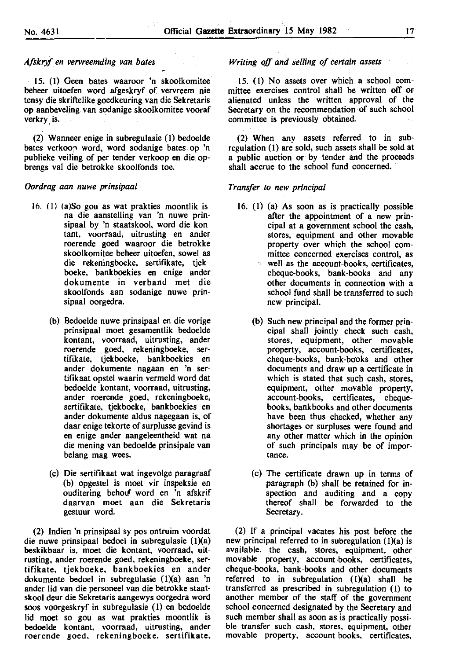#### *Afskryf en vervreemding van bates*

15. (I) Geen bates waaroor 'n skoolkomitee beheer uitoefen word afgeskryf of vervreem nie tensy die skriftelike goedkeuring van die Sekretaris op aanbeveling van sodanige skoolkomitee vooraf verkry is.

(2) Wanneer enige in subregulasie (I) bedoelde bates verkoop word, word sodanige bates op 'n publieke veiling of per tender verkoop en die opbrengs val die betrokke skoolfonds toe.

#### *Oordrag aan nuwe prinsipaa/*

- 16. (I) (a)So gou as wat prakties moontlik is na die aanstelling van 'n nuwe prinsipaal by 'n staatskool, word die kontant, voorraad, uitrusting en ander roerende goed waaroor die betrokke skoolkomitee beheer uitoefen, sowel as die rekeningboeke, sertifikate, tjekboeke, bankboekies en enige ander dokumente in verband met die skoolfonds aan sodanige nuwe prinsipaal oorgedra.
	- (b) Bedoelde nuwe prinsipaal en die vorige prinsipaal moet gesamentlik bedoelde kontant, voorraad, uitrusting, ander roerende goed, rekeningboeke, sertifikate, tjekboeke, bankboekies en ander dokumente nagaan en 'n sertifikaat opstel waarin vermeld word dat bedoelde kontant, voorraad, uitrusting, ander roerende goed, rekeningboeke, sertifikate, tjekboeke, bankboekies en ander dokumente aldus nagegaan is, of daar enige tekorte of surplusse gevind is en enige ander aangeleentheid wat na die mening van bedoelde prinsipale van belang mag wees.
	- (c) Die sertifikaat wat ingevolge paragraaf (b) opgestel is moet vir inspeksie en ouditering behou word en 'n afskrif daarvan moet aan die Sekretaris gestuur word.

(2) Indien 'n prinsipaal sy pos ontruim voordat die nuwe prinsipaal bedoel in subregulasie  $(1)(a)$ beskikbaar is, moet die kontant, voorraad, uitrusting, ander roerende goed, rekeningboeke, sertifikate, tjekboeke, bankboekies en ander dokumente bedoel in subregulasie (!)(a) aan 'n ander lid van die personeel van die betrokke staatskool deur die Sekretaris aangewys oorgedra word soos voorgeskryf in subregulasie (I) en bedoelde lid moet so gou as wat prakties moontlik is bedoelde kontant, voorraad, uitrusting, ander roerende goed, rekeningboeke, sertifikate,

#### *Writing off and selling of certain assets*

15. (I) No assets over which a school committee exercises control shall be written ofT or alienated unless the written approval of the Secretary on the recommendation of such school committee is previously obtained.

(2) When any assets referred to in subregulation (I) are sold, such assets shall be sold at a public auction or by tender and the proceeds shall accrue to the school fund concerned.

#### *Transfer to new principal*

- 16. (I) (a) As soon as is practically possible after the appointment of a new principal at a government school the cash, stores, equipment and other movable property over which the school committee concerned exercises control, as well as the account-books, certificates, cheque-books, bank-books and any other documents in connection with a school fund shall be transferred to such new principal.
	- (b) Such new principal and the former principal shall jointly check such cash, stores, equipment, other movable property, account-books, certificates, cheque-books, bank-books and other documents and draw up a certificate in which is stated that such cash, stores, equipment, other movable property, account-books, certificates, chequebooks, bankbooks and other documents have been thus checked, whether any shortages or surpluses were found and any other matter which in the opinion of such principals may be of importance.
	- (c) The certificate drawn up in terms of paragraph (b) shall be retained for inspection and auditing and a copy thereof shall be forwarded to the Secretary.

(2) If a principal vacates his post before the new principal referred to in subregulation  $(1)(a)$  is available, the cash, stores, equipment, other movable property, account-books, certificates, cheque-books, bank-books and other documents referred to in subregulation (I)(a) shall be transferred as prescribed in subregulation (I) to another member of the staff of the government school concerned designated by the Secretary and such member shall as soon as is practically possible transfer such cash, stores, equipment, other movable property, account-books, certificates,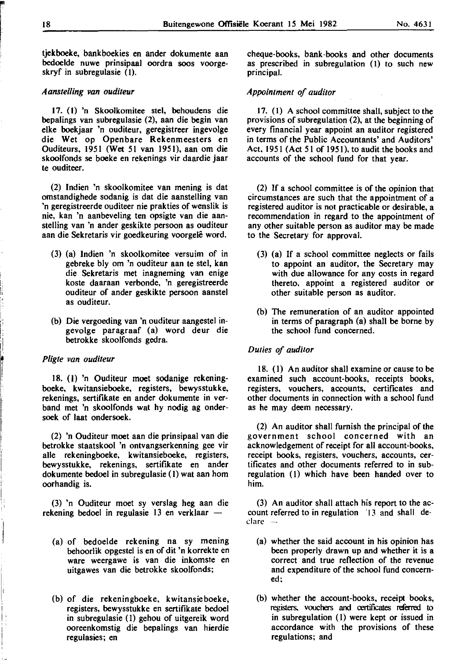I"

i I 1.

'

I I, tjekboeke, bankboekies en ander dokumente aan bedoelde nuwe prinsipaal oordra soos voorgeskryf in subregulasie (1).

#### *A anstelling van ouditeur*

17. (I) 'n Skoolkomitee stel, behoudens die bepalings van subregulasie (2), aan die begin van elke boekjaar 'n ouditeur, geregistreer ingevolge die Wet op Openbare Rekenmeesters en Ouditeurs, 1951 (Wet 51 van 1951), aan om die skoolfonds se boeke en rekenings vir daardie jaar te ouditeer.

(2) lndien 'n skoolkomitee van mening is dat omstandighede sodanig is dat die aanstelling van 'n geregistreerde ouditeer nie prakties of wenslik is nie, kan 'n aanbeveling ten opsigte van die aanstelling van 'n ander geskikte persoon as ouditeur aan die Sekretaris vir goedkeuring voorgelê word.

- (3) (a) Indien 'n skoolkomitee versuim of in gebreke bly om 'n ouditeur aan te stel, kan die Sekretaris met inagneming van enige koste daaraan verbonde, 'n geregistreerde ouditeur of ander geskikte persoon aanstel as ouditeur.
- (b) Die vergoeding van 'n ouditeur aangestel ingevolge paragraaf (a) word deur die betrokke skoolfonds gedra.

#### *Pligte van ouditeur*

18, (I) 'n Ouditeur moet sodanige rekeningboeke, kwitansieboeke, registers, bewysstukke, rekenings, sertiflkate en ander dokumente in verband met 'n skoolfonds wat hy nodig ag ondersoek of laat ondersoek.

(2) 'n Ouditeur moet aan die prinsipaal van die betrokke staatskool 'n ontvangserkenning gee vir aile rekeningboeke, kwitansieboeke, registers, bewysstukke, rekenings, sertiflkate en ander dokumente bedoel in subregulasie (I) wat aan hom oorhandig is.

(3) 'n Ouditeur moet sy verslag heg aan die rekening bedoel in regulasie 13 en verklaar  $-$ 

- (a) of bedoelde rekening na sy mening behoorlik opgestel is en of dit 'n korrekte en ware weergawe is van die inkomste en uitgawes van die betrokke skoolfonds;
- (b) of die rekeningboeke, kwitansieboeke, registers, bewysstukke en sertiflkate bedoel in subregulasie (I) gehou of uitgereik word ooreenkomstig die bepalings van hierdie regulasies; en

cheque-books, bank -books and other documents as prescribed in subregulation (I) to such new principal.

#### *Appointment of auditor*

17. (I) A school committee shall, subject to the provisions of subregulation (2), at the beginning of every financial year appoint an auditor registered in terms of the Public Accountants' and Auditors' Act, 1951 (Act 51 of 1951), to audit the books and accounts of the school fund for that year.

(2) If a school committee is of the opinion that circumstances are such that the appointment of a registered auditor is not practicable or desirable, a recommendation in regard to the appointment of any other suitable person as auditor may be made to the Secretary for approval.

- (3) (a) If a school committee neglects or fails to appoint an auditor, the Secretary may with due allowance for any costs in regard thereto, appoint a registered auditor or other suitable person as auditor.
- (b) The remuneration of an auditor appointed in terms of paragraph (a) shall be borne by the school fund concerned.

#### *Duties of auditor*

18. (I) An auditor shall examine or cause to be examined such account-books, receipts books, registers, vouchers, accounts, certificates and other documents in connection with a school fund as he may deem necessary.

(2) An auditor shall furnish the principal of the government school concerned with an acknowledgement of receipt for all account-books, receipt books, registers, vouchers, accounts, certificates and other documents referred to in subregulation (I) which have been handed over to him.

(3) An auditor shall attach his report to the account referred to in regulation '13 and shall de**clare** 

- (a) whether the said account in his opinion has been properly drawn up and whether it is a correct and true reflection of the revenue and expenditure of the school fund concerned;
- (b) whether the account-books, receipt books, registers, vouchers and certificates referred to in subregulation (I) were kept or issued in accordance with the provisions of these regulations; and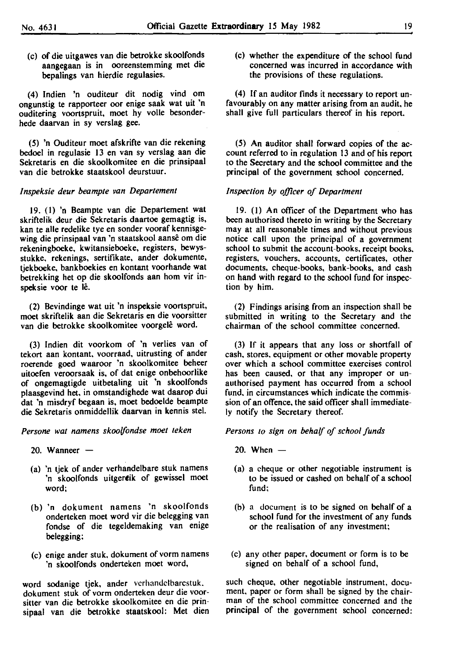(c) of die uitgawes van die betrokke skoolfonds aangegaan is in ooreenstemming met die bepalings van hierdie regulasies.

(4) lndien 'n ouditeur dit nodig vind om ongunstig te rapporteer oor enige saak wat uit 'n ouditering voortspruit, moet hy volle besonderhede daarvan in sy verslag gee.

(5) 'n Ouditeur moet afskrifte van die rekening bedoel in regulasie 13 en van sy verslag aan die Sekretaris en die skoolkomitee en die prinsipaal van die betrokke staatskool deurstuur.

#### *Inspeksie deur beampte van Departement*

19. (I) 'n Beampte van die Departement wat skriftelik deur die Sekretaris daartoe gemagtig is, kan te aile redelike tye en sonder vooraf kennisgewing die prinsipaal van 'n staatskool aanse om die rekeningboeke, kwitansieboeke, registers, bewysstukke, rekenings, sertifikate, ander dokumente, tjekboeke, bankboekies en kontant voorhande wat betrekking het op die skoolfonds aan hom vir inspeksie voor te lê.

(2) Bevindinge wat uit 'n inspeksie voortspruit, moet skriftelik aan die Sekretaris en die voorsitter van die betrokke skoolkomitee voorgelê word.

(3) lndien dit voorkom of 'n verlies van of tekort aan kontant, voorraad, uitrusting of ander roerende goed waaroor 'n skoolkomitee beheer uitoefen veroorsaak is, of dat enige onbehoorlike of ongemagtigde uitbetaling uit 'n skoolfonds plaasgevind het, in omstandighede wat daarop dui dat 'n misdryf begaan is, moet bedoelde beampte die Sekretaris onmiddellik daarvan in kennis stel.

Persone wat namens skoolfondse moet teken

- 20. Wanneer  $-$
- (a) 'n tjek of ander verhandelbare stuk namens 'n skoolfonds uitgereik of gewissel moet word;
- (b) 'n dokument namens 'n skoolfonds onderteken moet word vir die belegging van fondse of die tegeldemaking van enige be legging;
- (c) enige ander stuk, dokument of vorm namens 'n skoolfonds onderteken moet word,

word sodanige tjek, ander vcrhandclbarcstuk. dokument stuk of vorm onderteken deur die voorsitter van die betrokke skoolkomitee en die prinsipaal van die betrokke staatskool: Met dien (c) whether the expenditure of the school fund concerned was incurred in accordance with the provisions of these regulations.

(4) If an auditor finds it necessary to report unfavourably on any matter arising from an audit, he shall give full particulars thereof in his report.

(5) An auditor shall forward copies of the account referred to in regulation 13 and of his report to the Secretary and the school committee and the principal of the government school concerned.

#### *Inspection by officer of Department*

19. (I) An officer of the Department who has been authorised thereto in writing by the Secretary may at all reasonable times and without previous notice call upon the principal of a government school to submit the account-books, receipt books. registers, vouchers, accounts, certificates, other documents, cheque-books, bank-books, and cash on hand with regard to the school fund for inspection by him.

(2) Findings arising from an inspection shall be submitted in writing to the Secretary and the chairman of the school committee concerned.

(3) If it appears that any loss or shortfall of cash, stores, equipment or other movable property over which a school committee exercises control has been caused, or that any improper or unauthorised payment has occurred from a school fund, in circumstances which indicate the commission of an offence, the said officer shall immediately notify the Secretary thereof.

#### *Persons to sign on behalf of school funds*

- 20. When  $-$
- (a) a cheque or other negotiable instrument is to be issued or cashed on behalf of a school fund;
- (b) a document is to be signed on behalf of a school fund for the investment of any funds or the realisation of any investment;
- (c) any other paper, document or form is to be signed on behalf of a school fund,

such cheque, other negotiable instrument, document, paper or form shall be signed by the chairman of the school committee concerned and the principal of the government school concerned: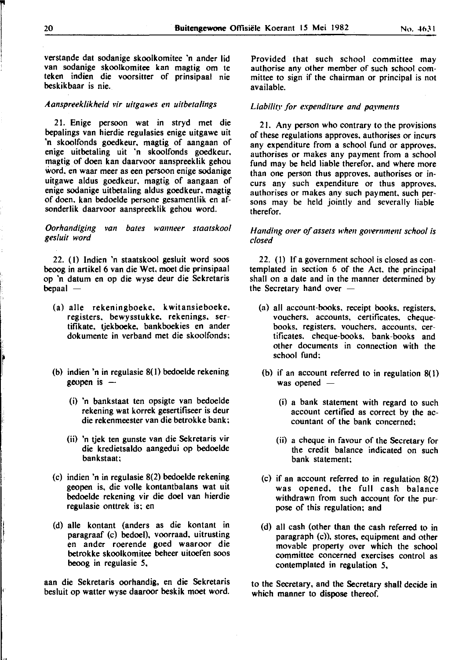verstande dat sodanige skoolkomitee 'n ander lid van sodanige skoolkomitee kan magtig om te teken indien die voorsitter of prinsipaal nie beskikbaar is nie.

#### *Aanspreek/ikheid vir uitgawes en uitbeta/lngs*

2 I. Enige per soon wat in stryd met die bepalings van hierdie regulasies enige uitgawe uit 'n skoolfonds goedkeur. magtig of aangaan of enige uitbetaling uit 'n skoolfonds goedkeur. magtig of doen kan daarvoor aanspreeklik gehou word. en waar meer as een persoon enige sodanige uitgawe aldus goedkeur. magtig of aangaan of enige sodanige uitbetaling aldus goedkeur. magtig of doen. kan bedoelde persone gesamentlik en afsonderlik daarvoor aanspreeklik gehou word.

#### *Oorhandiging van bates wanneer staatskoo/ gesluit word*

22. (I) Indien 'n staatskool gesluit word soos beoog in artikel 6 van die Wet. moet die prinsipaal op 'n datum en op die wyse deur die Sekretaris  $bepaal -$ 

- (a) aile rekeningboeke, k witansieboeke. registers. bewysstukke. rekenings. sertifikate, tiekboeke, bankboekies en ander dokumente in verband met die skoolfonds;
- (b) indien 'n in regulasie 8(1) bedoelde rekening geopen is  $-$ 
	- (i) 'n bankstaat ten opsigte van bedoelde rekening wat korrek gesertifiseer is deur die rekenmeester van die betrokke bank;
	- (ii) 'n tjek ten gunste van die Sekretaris vir die kredietsaldo aangedui op bedoelde bankstaat;
- (c) indien 'n in regulasie 8(2) bedoelde rekening geopen is, die volle kontantbalans wat uit bedoelde rekening vir die doel van hierdie regulasie onttrek is; en
- (d) aile kontant (anders as die kontant in paragraaf (c) bedoel), voorraad, uitrusting en ander roerende goed waaroor die betrokke skoolkomitee beheer uitoefen soos beoog in regulasie 5,

aan die Sekretaris oorhandig, en die Sekretaris besluit op walter wyse daaroor beskik moet word.

Provided that such school committee may authorise any other member of such school committee to sign if the chairman or principal is not available.

#### *Liability for expenditure and paymems*

2 I. Any person who contrary to the provisions of these regulations approves. authorises or incurs any expenditure from a school fund or approves. authorises or makes any payment from a school fund may be held liable therefor. and where more than one person thus approves. authorises or incurs any such expenditure or thus approves. authorises or makes any such payment. such persons may be held jointly and severally liable therefor.

#### *Handing over of assets when government school is closed*

22. (I) If a government school is closed as contemplated in section 6 of the Act. the principal shall on a date and in the manner determined by the Secretary hand over  $-$ 

- (a) all account-books. receipt books. registers. vouchers. accounts, certificates. chequebooks, registers. vouchers. accounts, certificates. cheque-books. bank-books and other documents in connection with the school fund;
- (b) if an account referred to in regulation 8( I) was opened  $-$ 
	- (i) a bank statement with regard to such account certified as correct by the accountant of the bank concerned;
	- (ii) a cheque in favour of the Secretary for the credit balance indicated on such bank statement;
- (c) if an account referred to in regulation 8(2) was opened, the full cash balance withdrawn from such account for the purpose of this regulation; and
- (d) all cash (other than the cash referred to in paragraph (c)). stores, equipment and other movable property over which the school committee concerned exercises control as contemplated in regulation 5,

to the Secretary. and the Secretary shall decide in which manner to dispose thereof.

 $\mathbf{r}$ I

I

,,,